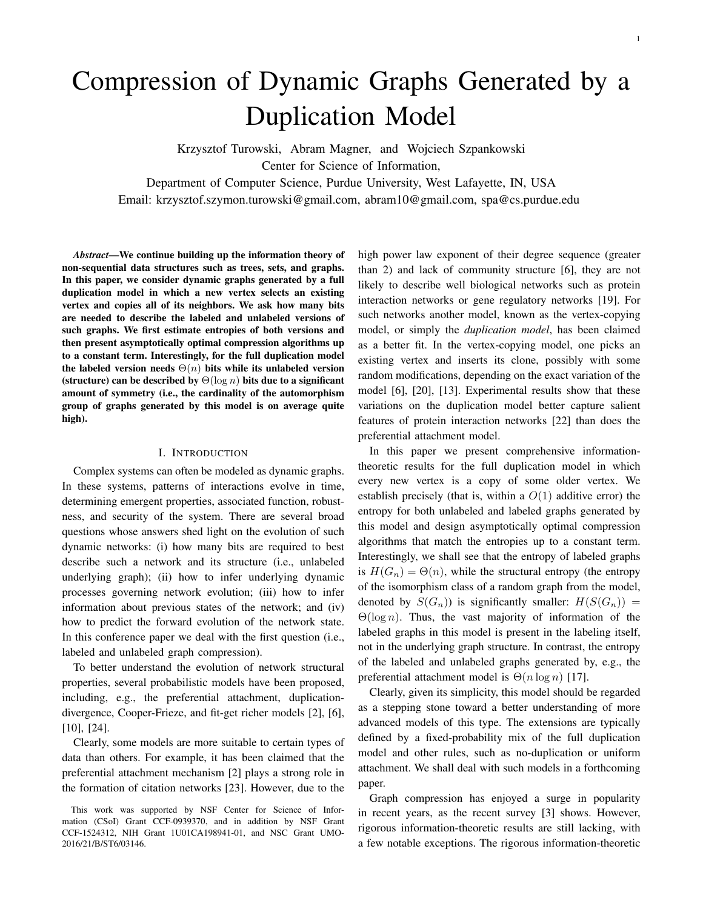# Compression of Dynamic Graphs Generated by a **Duplication Model**

Krzysztof Turowski, Abram Magner, and Wojciech Szpankowski

Center for Science of Information,

Department of Computer Science, Purdue University, West Lafayette, IN, USA

Email: krzysztof.szymon.turowski@gmail.com, abram10@gmail.com, spa@cs.purdue.edu

Abstract—We continue building up the information theory of non-sequential data structures such as trees, sets, and graphs. In this paper, we consider dynamic graphs generated by a full duplication model in which a new vertex selects an existing vertex and copies all of its neighbors. We ask how many bits are needed to describe the labeled and unlabeled versions of such graphs. We first estimate entropies of both versions and then present asymptotically optimal compression algorithms up to a constant term. Interestingly, for the full duplication model the labeled version needs  $\Theta(n)$  bits while its unlabeled version (structure) can be described by  $\Theta(\log n)$  bits due to a significant amount of symmetry (i.e., the cardinality of the automorphism group of graphs generated by this model is on average quite high).

# **I. INTRODUCTION**

Complex systems can often be modeled as dynamic graphs. In these systems, patterns of interactions evolve in time, determining emergent properties, associated function, robustness, and security of the system. There are several broad questions whose answers shed light on the evolution of such dynamic networks: (i) how many bits are required to best describe such a network and its structure (i.e., unlabeled underlying graph); (ii) how to infer underlying dynamic processes governing network evolution; (iii) how to infer information about previous states of the network; and (iv) how to predict the forward evolution of the network state. In this conference paper we deal with the first question (i.e., labeled and unlabeled graph compression).

To better understand the evolution of network structural properties, several probabilistic models have been proposed, including, e.g., the preferential attachment, duplicationdivergence, Cooper-Frieze, and fit-get richer models [2], [6],  $[10]$ ,  $[24]$ .

Clearly, some models are more suitable to certain types of data than others. For example, it has been claimed that the preferential attachment mechanism [2] plays a strong role in the formation of citation networks [23]. However, due to the high power law exponent of their degree sequence (greater than 2) and lack of community structure  $[6]$ , they are not likely to describe well biological networks such as protein interaction networks or gene regulatory networks [19]. For such networks another model, known as the vertex-copying model, or simply the *duplication model*, has been claimed as a better fit. In the vertex-copying model, one picks an existing vertex and inserts its clone, possibly with some random modifications, depending on the exact variation of the model [6], [20], [13]. Experimental results show that these variations on the duplication model better capture salient features of protein interaction networks [22] than does the preferential attachment model.

In this paper we present comprehensive informationtheoretic results for the full duplication model in which every new vertex is a copy of some older vertex. We establish precisely (that is, within a  $O(1)$  additive error) the entropy for both unlabeled and labeled graphs generated by this model and design asymptotically optimal compression algorithms that match the entropies up to a constant term. Interestingly, we shall see that the entropy of labeled graphs is  $H(G_n) = \Theta(n)$ , while the structural entropy (the entropy of the isomorphism class of a random graph from the model, denoted by  $S(G_n)$  is significantly smaller:  $H(S(G_n)) =$  $\Theta(\log n)$ . Thus, the vast majority of information of the labeled graphs in this model is present in the labeling itself, not in the underlying graph structure. In contrast, the entropy of the labeled and unlabeled graphs generated by, e.g., the preferential attachment model is  $\Theta(n \log n)$  [17].

Clearly, given its simplicity, this model should be regarded as a stepping stone toward a better understanding of more advanced models of this type. The extensions are typically defined by a fixed-probability mix of the full duplication model and other rules, such as no-duplication or uniform attachment. We shall deal with such models in a forthcoming paper.

Graph compression has enjoyed a surge in popularity in recent years, as the recent survey [3] shows. However, rigorous information-theoretic results are still lacking, with a few notable exceptions. The rigorous information-theoretic

This work was supported by NSF Center for Science of Information (CSoI) Grant CCF-0939370, and in addition by NSF Grant CCF-1524312, NIH Grant 1U01CA198941-01, and NSC Grant UMO-2016/21/B/ST6/03146.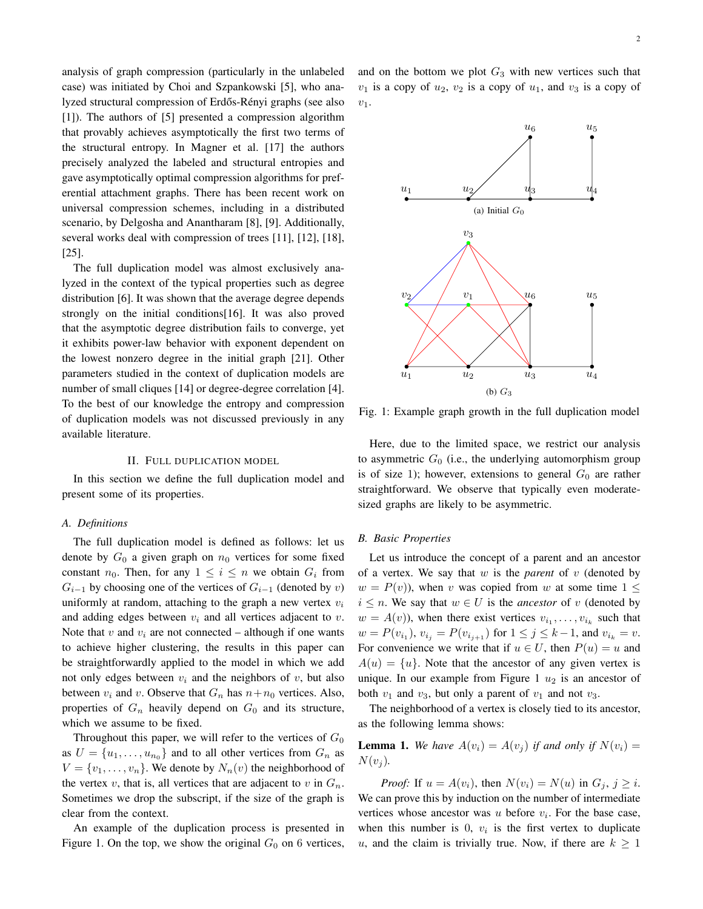analysis of graph compression (particularly in the unlabeled case) was initiated by Choi and Szpankowski [5], who analyzed structural compression of Erdős-Rényi graphs (see also  $[1]$ ). The authors of  $[5]$  presented a compression algorithm that provably achieves asymptotically the first two terms of the structural entropy. In Magner et al. [17] the authors precisely analyzed the labeled and structural entropies and gave asymptotically optimal compression algorithms for preferential attachment graphs. There has been recent work on universal compression schemes, including in a distributed scenario, by Delgosha and Anantharam [8], [9]. Additionally, several works deal with compression of trees [11], [12], [18],  $[25]$ .

The full duplication model was almost exclusively analyzed in the context of the typical properties such as degree distribution [6]. It was shown that the average degree depends strongly on the initial conditions[16]. It was also proved that the asymptotic degree distribution fails to converge, yet it exhibits power-law behavior with exponent dependent on the lowest nonzero degree in the initial graph [21]. Other parameters studied in the context of duplication models are number of small cliques [14] or degree-degree correlation [4]. To the best of our knowledge the entropy and compression of duplication models was not discussed previously in any available literature.

#### II. FULL DUPLICATION MODEL

In this section we define the full duplication model and present some of its properties.

#### A. Definitions

The full duplication model is defined as follows: let us denote by  $G_0$  a given graph on  $n_0$  vertices for some fixed constant  $n_0$ . Then, for any  $1 \leq i \leq n$  we obtain  $G_i$  from  $G_{i-1}$  by choosing one of the vertices of  $G_{i-1}$  (denoted by v) uniformly at random, attaching to the graph a new vertex  $v_i$ and adding edges between  $v_i$  and all vertices adjacent to  $v$ . Note that v and  $v_i$  are not connected – although if one wants to achieve higher clustering, the results in this paper can be straightforwardly applied to the model in which we add not only edges between  $v_i$  and the neighbors of v, but also between  $v_i$  and v. Observe that  $G_n$  has  $n + n_0$  vertices. Also, properties of  $G_n$  heavily depend on  $G_0$  and its structure, which we assume to be fixed.

Throughout this paper, we will refer to the vertices of  $G_0$ as  $U = \{u_1, \ldots, u_{n_0}\}\$ and to all other vertices from  $G_n$  as  $V = \{v_1, \ldots, v_n\}$ . We denote by  $N_n(v)$  the neighborhood of the vertex v, that is, all vertices that are adjacent to v in  $G_n$ . Sometimes we drop the subscript, if the size of the graph is clear from the context.

An example of the duplication process is presented in Figure 1. On the top, we show the original  $G_0$  on 6 vertices,

and on the bottom we plot  $G_3$  with new vertices such that  $v_1$  is a copy of  $u_2$ ,  $v_2$  is a copy of  $u_1$ , and  $v_3$  is a copy of  $v_1$ .



Fig. 1: Example graph growth in the full duplication model

Here, due to the limited space, we restrict our analysis to asymmetric  $G_0$  (i.e., the underlying automorphism group is of size 1); however, extensions to general  $G_0$  are rather straightforward. We observe that typically even moderatesized graphs are likely to be asymmetric.

#### **B.** Basic Properties

Let us introduce the concept of a parent and an ancestor of a vertex. We say that  $w$  is the *parent* of  $v$  (denoted by  $w = P(v)$ , when v was copied from w at some time  $1 \leq$  $i \leq n$ . We say that  $w \in U$  is the *ancestor* of v (denoted by  $w = A(v)$ , when there exist vertices  $v_{i_1}, \dots, v_{i_k}$  such that  $w = P(v_{i_1}), v_{i_j} = P(v_{i_{j+1}})$  for  $1 \le j \le k-1$ , and  $v_{i_k} = v$ . For convenience we write that if  $u \in U$ , then  $P(u) = u$  and  $A(u) = \{u\}$ . Note that the ancestor of any given vertex is unique. In our example from Figure 1  $u_2$  is an ancestor of both  $v_1$  and  $v_3$ , but only a parent of  $v_1$  and not  $v_3$ .

The neighborhood of a vertex is closely tied to its ancestor, as the following lemma shows:

**Lemma 1.** We have  $A(v_i) = A(v_i)$  if and only if  $N(v_i) =$  $N(v_i)$ .

*Proof:* If  $u = A(v_i)$ , then  $N(v_i) = N(u)$  in  $G_i$ ,  $j \geq i$ . We can prove this by induction on the number of intermediate vertices whose ancestor was  $u$  before  $v_i$ . For the base case, when this number is  $0$ ,  $v_i$  is the first vertex to duplicate u, and the claim is trivially true. Now, if there are  $k \geq 1$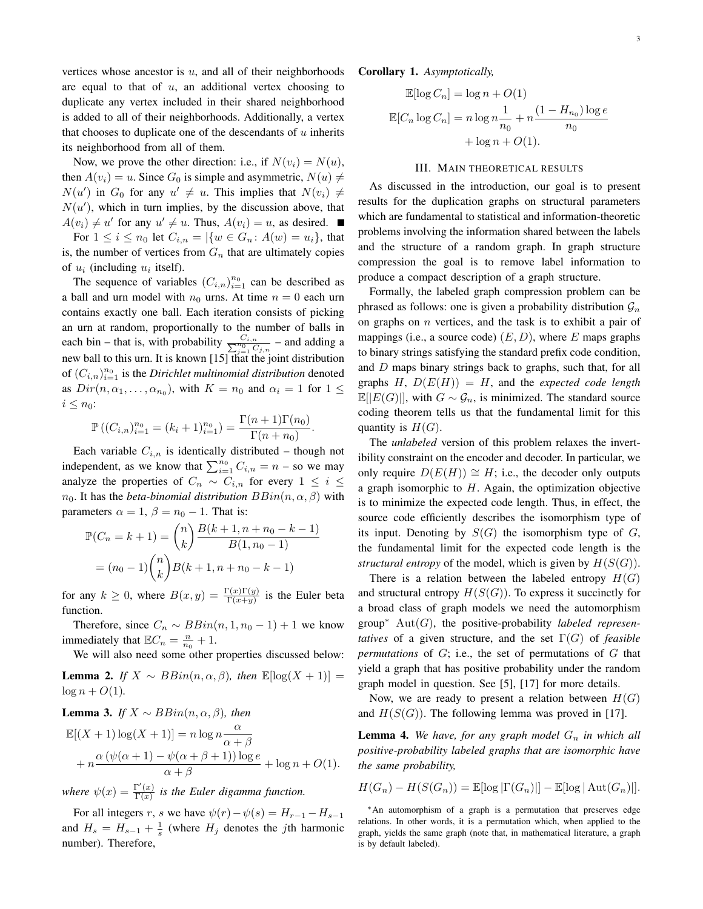vertices whose ancestor is  $u$ , and all of their neighborhoods are equal to that of  $u$ , an additional vertex choosing to duplicate any vertex included in their shared neighborhood is added to all of their neighborhoods. Additionally, a vertex that chooses to duplicate one of the descendants of  $u$  inherits its neighborhood from all of them.

Now, we prove the other direction: i.e., if  $N(v_i) = N(u)$ , then  $A(v_i) = u$ . Since  $G_0$  is simple and asymmetric,  $N(u) \neq$  $N(u')$  in  $G_0$  for any  $u' \neq u$ . This implies that  $N(v_i) \neq$  $N(u')$ , which in turn implies, by the discussion above, that  $A(v_i) \neq u'$  for any  $u' \neq u$ . Thus,  $A(v_i) = u$ , as desired.

For  $1 \le i \le n_0$  let  $C_{i,n} = |\{w \in G_n : A(w) = u_i\}|$ , that is, the number of vertices from  $G_n$  that are ultimately copies of  $u_i$  (including  $u_i$  itself).

The sequence of variables  $(C_{i,n})_{i=1}^{n_0}$  can be described as a ball and urn model with  $n_0$  urns. At time  $n = 0$  each urn contains exactly one ball. Each iteration consists of picking an urn at random, proportionally to the number of balls in each bin – that is, with probability  $\frac{C_{i,n}}{\sum_{j=1}^{n_0} C_{j,n}}$  – and adding a new ball to this urn. It is known  $[15]$  that the joint distribution of  $(C_{i,n})_{i=1}^{n_0}$  is the *Dirichlet multinomial distribution* denoted as  $Dir(n, \alpha_1, \ldots, \alpha_{n_0})$ , with  $K = n_0$  and  $\alpha_i = 1$  for  $1 \leq$  $i\leq n_0$ :

$$
\mathbb{P}\left((C_{i,n})_{i=1}^{n_0} = (k_i + 1)_{i=1}^{n_0}\right) = \frac{\Gamma(n+1)\Gamma(n_0)}{\Gamma(n+n_0)}
$$

Each variable  $C_{i,n}$  is identically distributed – though not independent, as we know that  $\sum_{i=1}^{n_0} C_{i,n} = n -$  so we may analyze the properties of  $C_n \sim C_{i,n}$  for every  $1 \leq i \leq$  $n_0$ . It has the *beta-binomial distribution*  $BBin(n, \alpha, \beta)$  with parameters  $\alpha = 1$ ,  $\beta = n_0 - 1$ . That is:

$$
\mathbb{P}(C_n = k+1) = \binom{n}{k} \frac{B(k+1, n+n_0-k-1)}{B(1, n_0-1)}
$$

$$
= (n_0-1)\binom{n}{k} B(k+1, n+n_0-k-1)
$$

for any  $k \geq 0$ , where  $B(x, y) = \frac{\Gamma(x)\Gamma(y)}{\Gamma(x+y)}$  is the Euler beta function.

Therefore, since  $C_n \sim BBin(n, 1, n_0 - 1) + 1$  we know immediately that  $\mathbb{E}C_n = \frac{n}{n_0} + 1$ .

We will also need some other properties discussed below:

**Lemma 2.** If  $X \sim BBin(n, \alpha, \beta)$ , then  $\mathbb{E}[\log(X + 1)] =$  $\log n + O(1)$ .

**Lemma 3.** If 
$$
X \sim BBin(n, \alpha, \beta)
$$
, then  
\n
$$
\mathbb{E}[(X+1)\log(X+1)] = n \log n \frac{\alpha}{\alpha + \beta} + n \frac{\alpha(\psi(\alpha+1) - \psi(\alpha+\beta+1))\log e}{\alpha + \beta} + \log n + O(1).
$$

where  $\psi(x) = \frac{\Gamma'(x)}{\Gamma(x)}$  is the Euler digamma function.

For all integers r, s we have  $\psi(r) - \psi(s) = H_{r-1} - H_{s-1}$ and  $H_s = H_{s-1} + \frac{1}{s}$  (where  $H_i$  denotes the *j*th harmonic number). Therefore,

# **Corollary 1.** Asymptotically,

$$
\mathbb{E}[\log C_n] = \log n + O(1)
$$

$$
\mathbb{E}[C_n \log C_n] = n \log n \frac{1}{n_0} + n \frac{(1 - H_{n_0}) \log e}{n_0}
$$

$$
+ \log n + O(1).
$$

#### **III. MAIN THEORETICAL RESULTS**

As discussed in the introduction, our goal is to present results for the duplication graphs on structural parameters which are fundamental to statistical and information-theoretic problems involving the information shared between the labels and the structure of a random graph. In graph structure compression the goal is to remove label information to produce a compact description of a graph structure.

Formally, the labeled graph compression problem can be phrased as follows: one is given a probability distribution  $\mathcal{G}_n$ on graphs on  $n$  vertices, and the task is to exhibit a pair of mappings (i.e., a source code)  $(E, D)$ , where E maps graphs to binary strings satisfying the standard prefix code condition, and  $D$  maps binary strings back to graphs, such that, for all graphs H,  $D(E(H)) = H$ , and the expected code length  $\mathbb{E}[E(G)$ , with  $G \sim \mathcal{G}_n$ , is minimized. The standard source coding theorem tells us that the fundamental limit for this quantity is  $H(G)$ .

The *unlabeled* version of this problem relaxes the invertibility constraint on the encoder and decoder. In particular, we only require  $D(E(H)) \cong H$ ; i.e., the decoder only outputs a graph isomorphic to  $H$ . Again, the optimization objective is to minimize the expected code length. Thus, in effect, the source code efficiently describes the isomorphism type of its input. Denoting by  $S(G)$  the isomorphism type of G, the fundamental limit for the expected code length is the structural entropy of the model, which is given by  $H(S(G))$ .

There is a relation between the labeled entropy  $H(G)$ and structural entropy  $H(S(G))$ . To express it succinctly for a broad class of graph models we need the automorphism group\*  $Aut(G)$ , the positive-probability *labeled representatives* of a given structure, and the set  $\Gamma(G)$  of *feasible permutations* of  $G$ ; i.e., the set of permutations of  $G$  that yield a graph that has positive probability under the random graph model in question. See [5], [17] for more details.

Now, we are ready to present a relation between  $H(G)$ and  $H(S(G))$ . The following lemma was proved in [17].

**Lemma 4.** We have, for any graph model  $G_n$  in which all positive-probability labeled graphs that are isomorphic have the same probability,

$$
H(G_n) - H(S(G_n)) = \mathbb{E}[\log |\Gamma(G_n)|] - \mathbb{E}[\log |\operatorname{Aut}(G_n)|].
$$

<sup>\*</sup>An automorphism of a graph is a permutation that preserves edge relations. In other words, it is a permutation which, when applied to the graph, yields the same graph (note that, in mathematical literature, a graph is by default labeled).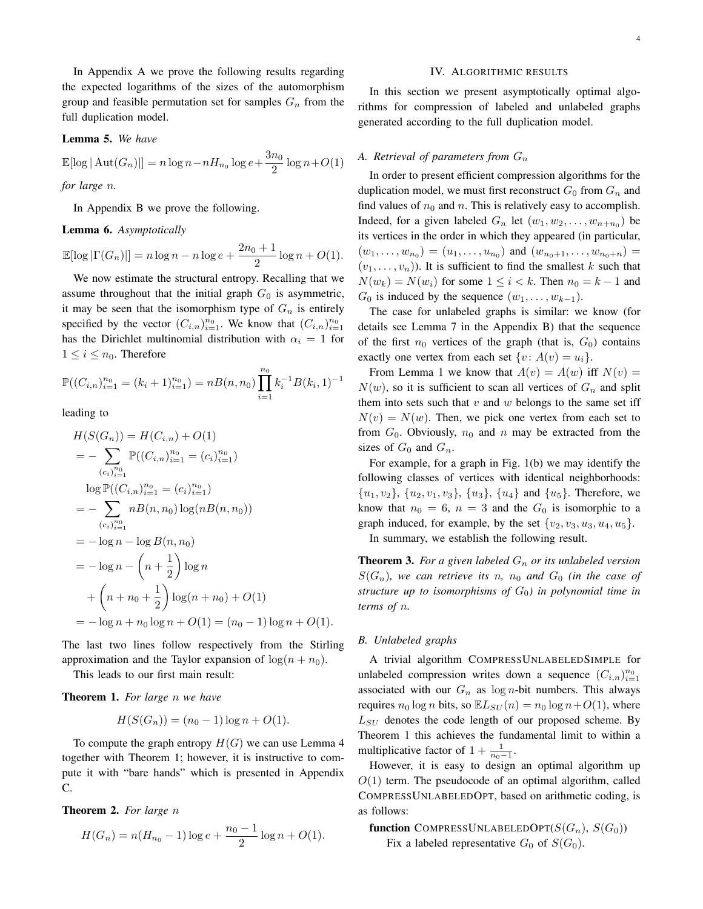In Appendix A we prove the following results regarding the expected logarithms of the sizes of the automorphism group and feasible permutation set for samples  $G_n$  from the full duplication model.

## Lemma 5. We have

$$
\mathbb{E}[\log |\operatorname{Aut}(G_n)|] = n \log n - n H_{n_0} \log e + \frac{3n_0}{2} \log n + O(1)
$$

for large n.

In Appendix B we prove the following.

#### **Lemma 6.** Asymptotically

$$
\mathbb{E}[\log |\Gamma(G_n)|] = n \log n - n \log e + \frac{2n_0 + 1}{2} \log n + O(1).
$$

We now estimate the structural entropy. Recalling that we assume throughout that the initial graph  $G_0$  is asymmetric, it may be seen that the isomorphism type of  $G_n$  is entirely specified by the vector  $(C_{i,n})_{i=1}^{n_0}$ . We know that  $(C_{i,n})_{i=1}^{n_0}$ has the Dirichlet multinomial distribution with  $\alpha_i = 1$  for  $1 \leq i \leq n_0$ . Therefore

$$
\mathbb{P}((C_{i,n})_{i=1}^{n_0} = (k_i + 1)_{i=1}^{n_0}) = nB(n, n_0) \prod_{i=1}^{n_0} k_i^{-1} B(k_i, 1)^{-1}
$$

leading to

$$
H(S(G_n)) = H(C_{i,n}) + O(1)
$$
  
=  $-\sum_{(c_i)_{i=1}^{n_0}} \mathbb{P}((C_{i,n})_{i=1}^{n_0} = (c_i)_{i=1}^{n_0})$   
 $\log \mathbb{P}((C_{i,n})_{i=1}^{n_0} = (c_i)_{i=1}^{n_0})$   
=  $-\sum_{(c_i)_{i=1}^{n_0}} nB(n, n_0) \log(nB(n, n_0))$   
=  $-\log n - \log B(n, n_0)$   
=  $-\log n - \left(n + \frac{1}{2}\right) \log n$   
+  $\left(n + n_0 + \frac{1}{2}\right) \log(n + n_0) + O(1)$   
=  $-\log n + n_0 \log n + O(1) = (n_0 - 1) \log n + O(1).$ 

The last two lines follow respectively from the Stirling approximation and the Taylor expansion of  $\log(n + n_0)$ .

This leads to our first main result:

# **Theorem 1.** For large  $n$  we have

$$
H(S(G_n)) = (n_0 - 1) \log n + O(1).
$$

To compute the graph entropy  $H(G)$  we can use Lemma 4 together with Theorem 1; however, it is instructive to compute it with "bare hands" which is presented in Appendix C.

**Theorem 2.** For large n

$$
H(G_n) = n(H_{n_0} - 1) \log e + \frac{n_0 - 1}{2} \log n + O(1)
$$

#### IV. ALGORITHMIC RESULTS

In this section we present asymptotically optimal algorithms for compression of labeled and unlabeled graphs generated according to the full duplication model.

## A. Retrieval of parameters from  $G_n$

In order to present efficient compression algorithms for the duplication model, we must first reconstruct  $G_0$  from  $G_n$  and find values of  $n_0$  and n. This is relatively easy to accomplish. Indeed, for a given labeled  $G_n$  let  $(w_1, w_2, \ldots, w_{n+n_0})$  be its vertices in the order in which they appeared (in particular,  $(w_1, \ldots, w_{n_0}) = (u_1, \ldots, u_{n_0})$  and  $(w_{n_0+1}, \ldots, w_{n_0+n}) =$  $(v_1, \ldots, v_n)$ ). It is sufficient to find the smallest k such that  $N(w_k) = N(w_i)$  for some  $1 \leq i < k$ . Then  $n_0 = k - 1$  and  $G_0$  is induced by the sequence  $(w_1, \ldots, w_{k-1})$ .

The case for unlabeled graphs is similar: we know (for details see Lemma 7 in the Appendix B) that the sequence of the first  $n_0$  vertices of the graph (that is,  $G_0$ ) contains exactly one vertex from each set  $\{v: A(v) = u_i\}.$ 

From Lemma 1 we know that  $A(v) = A(w)$  iff  $N(v) =$  $N(w)$ , so it is sufficient to scan all vertices of  $G_n$  and split them into sets such that  $v$  and  $w$  belongs to the same set iff  $N(v) = N(w)$ . Then, we pick one vertex from each set to from  $G_0$ . Obviously,  $n_0$  and  $n$  may be extracted from the sizes of  $G_0$  and  $G_n$ .

For example, for a graph in Fig.  $1(b)$  we may identify the following classes of vertices with identical neighborhoods:  $\{u_1, v_2\}$ ,  $\{u_2, v_1, v_3\}$ ,  $\{u_3\}$ ,  $\{u_4\}$  and  $\{u_5\}$ . Therefore, we know that  $n_0 = 6$ ,  $n = 3$  and the  $G_0$  is isomorphic to a graph induced, for example, by the set  $\{v_2, v_3, u_3, u_4, u_5\}$ . In summary, we establish the following result.

**Theorem 3.** For a given labeled  $G_n$  or its unlabeled version  $S(G_n)$ , we can retrieve its n, n<sub>0</sub> and  $G_0$  (in the case of structure up to isomorphisms of  $G_0$ ) in polynomial time in

#### **B.** Unlabeled graphs

terms of  $n$ .

A trivial algorithm COMPRESSUNLABELEDSIMPLE for unlabeled compression writes down a sequence  $(C_{i,n})_{i=1}^{n_0}$ associated with our  $G_n$  as  $\log n$ -bit numbers. This always requires  $n_0 \log n$  bits, so  $\mathbb{E}L_{SU}(n) = n_0 \log n + O(1)$ , where  $L_{SU}$  denotes the code length of our proposed scheme. By Theorem 1 this achieves the fundamental limit to within a multiplicative factor of  $1 + \frac{1}{n_0 - 1}$ .

However, it is easy to design an optimal algorithm up  $O(1)$  term. The pseudocode of an optimal algorithm, called COMPRESSUNLABELEDOPT, based on arithmetic coding, is as follows:

function COMPRESSUNLABELEDOPT $(S(G_n), S(G_0))$ Fix a labeled representative  $G_0$  of  $S(G_0)$ .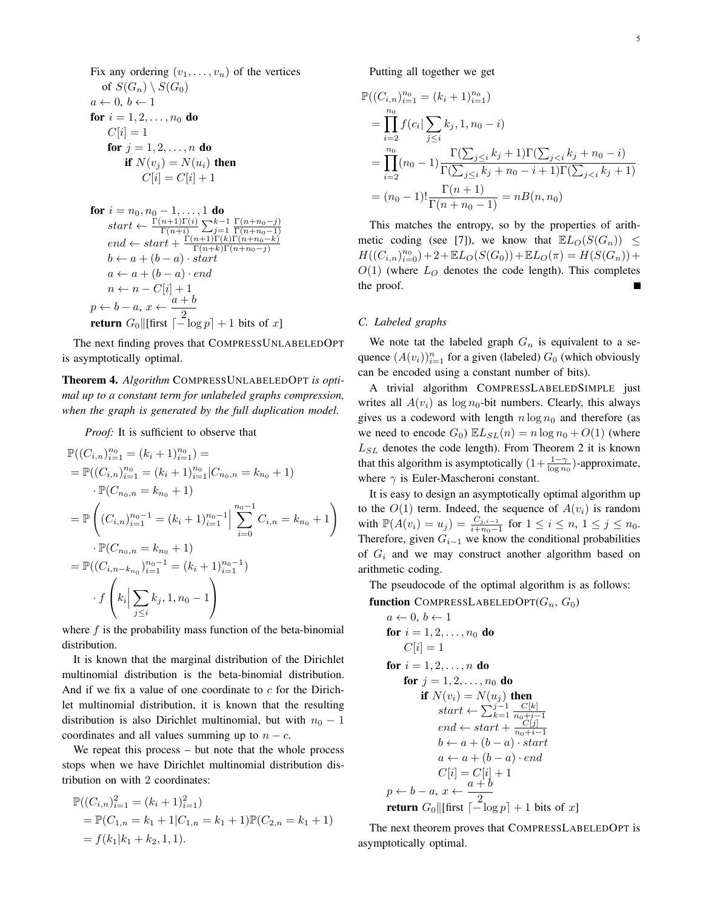Fix any ordering  $(v_1, \ldots, v_n)$  of the vertices of  $S(G_n) \setminus S(G_0)$  $a \leftarrow 0, b \leftarrow 1$ for  $i = 1, 2, ..., n_0$  do  $C[i] = 1$ for  $j = 1, 2, ..., n$  do if  $N(v_i) = N(u_i)$  then  $C[i] = C[i] + 1$ **for**  $i = n_0, n_0 - 1, ..., 1$  **do**<br>  $start \leftarrow \frac{\Gamma(n+1)\Gamma(i)}{\Gamma(n+i)} \sum_{j=1}^{k-1} \frac{\Gamma(n+n_0-j)}{\Gamma(n+n_0-1)}$ <br>  $end \leftarrow start + \frac{\Gamma(n+1)\Gamma(k)\Gamma(n+n_0-k)}{\Gamma(n+k)\Gamma(n+n_0-j)}$  $b \leftarrow a + (b - a) \cdot start$  $a \leftarrow a + (b - a) \cdot end$  $\begin{array}{l} n \leftarrow n - C[i] + 1 \\ p \leftarrow b - a, \, x \leftarrow \frac{a + b}{2} \\ \textbf{return } G_0 \| [\text{first } \lceil - \log p \rceil + 1 \text{ bits of } x] \end{array}$ 

The next finding proves that COMPRESSUNLABELEDOPT is asymptotically optimal.

Theorem 4. Algorithm COMPRESSUNLABELEDOPT is optimal up to a constant term for unlabeled graphs compression, when the graph is generated by the full duplication model.

*Proof:* It is sufficient to observe that

$$
\mathbb{P}((C_{i,n})_{i=1}^{n_0} = (k_i + 1)_{i=1}^{n_0}) =
$$
\n
$$
= \mathbb{P}((C_{i,n})_{i=1}^{n_0} = (k_i + 1)_{i=1}^{n_0} | C_{n_0,n} = k_{n_0} + 1)
$$
\n
$$
\cdot \mathbb{P}(C_{n_0,n} = k_{n_0} + 1)
$$
\n
$$
= \mathbb{P}\left((C_{i,n})_{i=1}^{n_0-1} = (k_i + 1)_{i=1}^{n_0-1} | \sum_{i=0}^{n_0-1} C_{i,n} = k_{n_0} + 1\right)
$$
\n
$$
\cdot \mathbb{P}(C_{n_0,n} = k_{n_0} + 1)
$$
\n
$$
= \mathbb{P}((C_{i,n-k_{n_0}})_{i=1}^{n_0-1} = (k_i + 1)_{i=1}^{n_0-1})
$$
\n
$$
\cdot f\left(k_i | \sum_{j\leq i} k_j, 1, n_0 - 1\right)
$$

where  $f$  is the probability mass function of the beta-binomial distribution.

It is known that the marginal distribution of the Dirichlet multinomial distribution is the beta-binomial distribution. And if we fix a value of one coordinate to  $c$  for the Dirichlet multinomial distribution, it is known that the resulting distribution is also Dirichlet multinomial, but with  $n_0 - 1$ coordinates and all values summing up to  $n - c$ .

We repeat this process  $-$  but note that the whole process stops when we have Dirichlet multinomial distribution distribution on with 2 coordinates:

$$
\mathbb{P}((C_{i,n})_{i=1}^2 = (k_i + 1)_{i=1}^2)
$$
  
=  $\mathbb{P}(C_{1,n} = k_1 + 1 | C_{1,n} = k_1 + 1) \mathbb{P}(C_{2,n} = k_1 + 1)$   
=  $f(k_1 | k_1 + k_2, 1, 1).$ 

Putting all together we get

$$
\mathbb{P}((C_{i,n})_{i=1}^{n_0} = (k_i + 1)_{i=1}^{n_0})
$$
\n
$$
= \prod_{i=2}^{n_0} f(c_i | \sum_{j \le i} k_j, 1, n_0 - i)
$$
\n
$$
= \prod_{i=2}^{n_0} (n_0 - 1) \frac{\Gamma(\sum_{j \le i} k_j + 1) \Gamma(\sum_{j < i} k_j + n_0 - i)}{\Gamma(\sum_{j \le i} k_j + n_0 - i + 1) \Gamma(\sum_{j < i} k_j + 1)}
$$
\n
$$
= (n_0 - 1)! \frac{\Gamma(n + 1)}{\Gamma(n + n_0 - 1)} = nB(n, n_0)
$$

This matches the entropy, so by the properties of arithmetic coding (see [7]), we know that  $\mathbb{E}L_O(S(G_n)) \leq$  $H((C_{i,n})_{i=0}^{n_0})+2+\mathbb{E}L_O(S(G_0))+\mathbb{E}L_O(\pi)=H(S(G_n))+$  $O(1)$  (where  $L<sub>O</sub>$  denotes the code length). This completes the proof.

# C. Labeled graphs

We note tat the labeled graph  $G_n$  is equivalent to a sequence  $(A(v_i))_{i=1}^n$  for a given (labeled)  $G_0$  (which obviously can be encoded using a constant number of bits).

A trivial algorithm COMPRESSLABELEDSIMPLE just writes all  $A(v_i)$  as  $\log n_0$ -bit numbers. Clearly, this always gives us a codeword with length  $n \log n_0$  and therefore (as we need to encode  $G_0$ )  $\mathbb{E} L_{SL}(n) = n \log n_0 + O(1)$  (where  $L_{SL}$  denotes the code length). From Theorem 2 it is known that this algorithm is asymptotically  $(1 + \frac{1-\gamma}{\log n_0})$ -approximate, where  $\gamma$  is Euler-Mascheroni constant.

It is easy to design an asymptotically optimal algorithm up to the  $O(1)$  term. Indeed, the sequence of  $A(v_i)$  is random<br>with  $\mathbb{P}(A(v_i) = u_j) = \frac{C_{j,i-1}}{i+n_0-1}$  for  $1 \le i \le n, 1 \le j \le n_0$ . Therefore, given  $G_{i-1}$  we know the conditional probabilities of  $G_i$  and we may construct another algorithm based on arithmetic coding.

The pseudocode of the optimal algorithm is as follows:

function COMPRESSLABLEDOPT
$$
(G_n, G_0)
$$
  
\n $a \leftarrow 0, b \leftarrow 1$   
\nfor  $i = 1, 2, ..., n_0$  do  
\n $C[i] = 1$   
\nfor  $i = 1, 2, ..., n$  do  
\nfor  $j = 1, 2, ..., n_0$  do  
\nif  $N(v_i) = N(u_j)$  then  
\nstart  $\leftarrow \sum_{k=1}^{j-1} \frac{C[k]}{n_0 + i - 1}$   
\nend  $\leftarrow$  start  $+$   $\frac{C[j]}{n_0 + i - 1}$   
\n $b \leftarrow a + (b - a) \cdot start$   
\n $a \leftarrow a + (b - a) \cdot end$   
\n $C[i] = C[i] + 1$   
\n $p \leftarrow b - a, x \leftarrow \frac{a + b}{2}$   
\nreturn  $G_0 || [ \text{first } [-\log p] + 1 \text{ bits of } x ]$ 

The next theorem proves that COMPRESSLABELEDOPT is asymptotically optimal.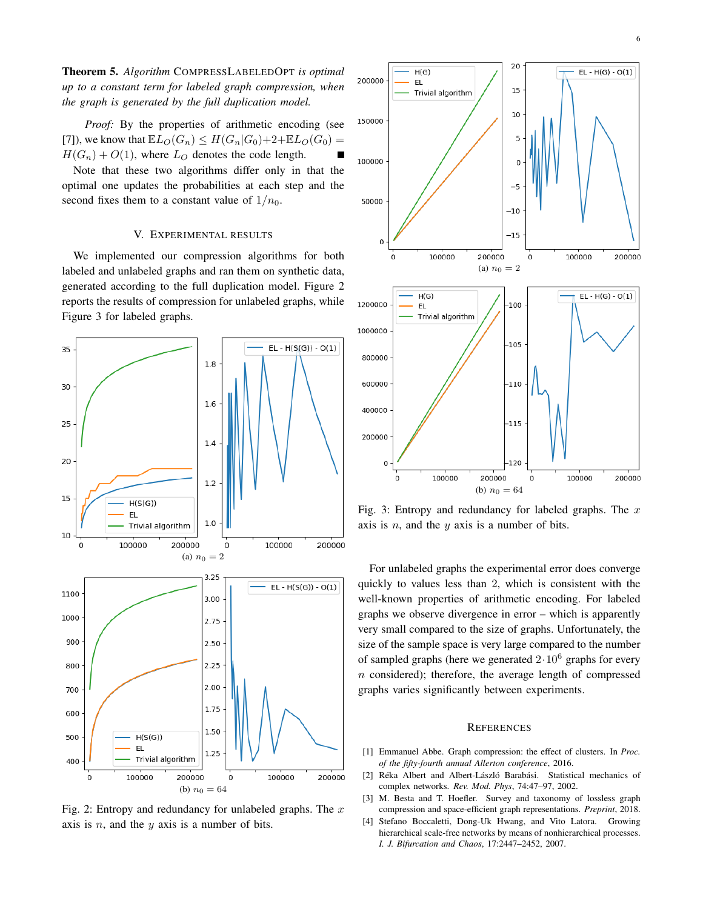**Theorem 5.** Algorithm COMPRESSLABELEDOPT is optimal up to a constant term for labeled graph compression, when the graph is generated by the full duplication model.

Proof: By the properties of arithmetic encoding (see [7]), we know that  $\mathbb{E}L_0(G_n) \leq H(G_n|G_0)+2+\mathbb{E}L_0(G_0) =$  $H(G_n) + O(1)$ , where  $L_O$  denotes the code length.

Note that these two algorithms differ only in that the optimal one updates the probabilities at each step and the second fixes them to a constant value of  $1/n_0$ .

# V. EXPERIMENTAL RESULTS

We implemented our compression algorithms for both labeled and unlabeled graphs and ran them on synthetic data, generated according to the full duplication model. Figure 2 reports the results of compression for unlabeled graphs, while Figure 3 for labeled graphs.



Fig. 2: Entropy and redundancy for unlabeled graphs. The  $x$ axis is  $n$ , and the  $y$  axis is a number of bits.



Fig. 3: Entropy and redundancy for labeled graphs. The  $x$ axis is  $n$ , and the  $y$  axis is a number of bits.

For unlabeled graphs the experimental error does converge quickly to values less than 2, which is consistent with the well-known properties of arithmetic encoding. For labeled graphs we observe divergence in error – which is apparently very small compared to the size of graphs. Unfortunately, the size of the sample space is very large compared to the number of sampled graphs (here we generated  $2 \cdot 10^6$  graphs for every  $n$  considered); therefore, the average length of compressed graphs varies significantly between experiments.

#### **REFERENCES**

- $[1]$ Emmanuel Abbe. Graph compression: the effect of clusters. In Proc. of the fifty-fourth annual Allerton conference, 2016.
- Réka Albert and Albert-László Barabási. Statistical mechanics of  $[2]$ complex networks. Rev. Mod. Phys, 74:47-97, 2002.
- $\lceil 3 \rceil$ M. Besta and T. Hoefler. Survey and taxonomy of lossless graph compression and space-efficient graph representations. *Preprint*, 2018.
- [4] Stefano Boccaletti, Dong-Uk Hwang, and Vito Latora. Growing hierarchical scale-free networks by means of nonhierarchical processes. I. J. Bifurcation and Chaos, 17:2447-2452, 2007.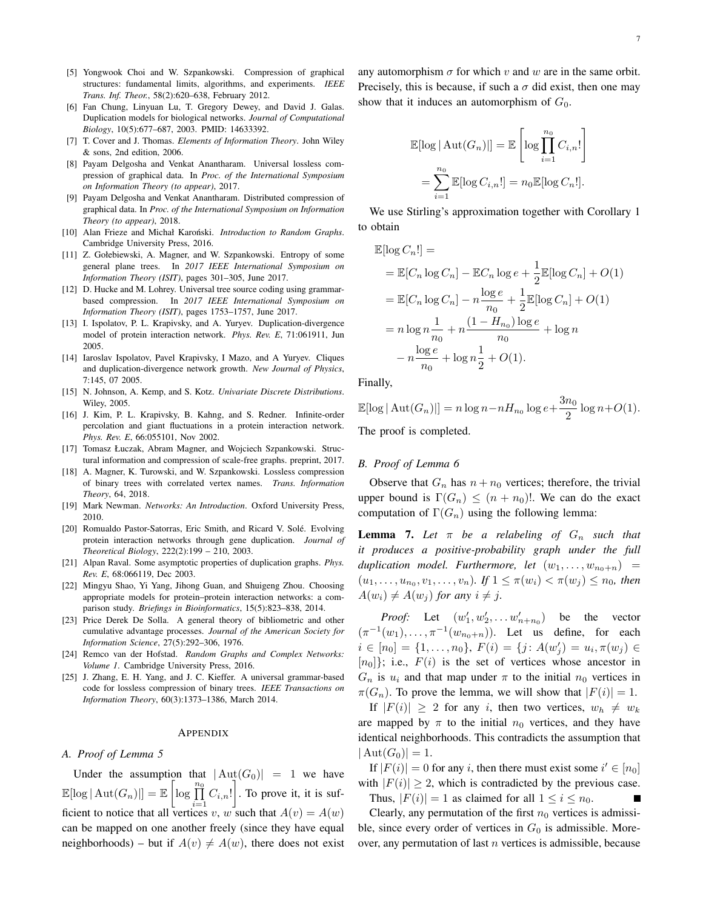- [5] Yongwook Choi and W. Szpankowski. Compression of graphical structures: fundamental limits, algorithms, and experiments. IEEE Trans. Inf. Theor., 58(2):620-638, February 2012.
- [6] Fan Chung, Linyuan Lu, T. Gregory Dewey, and David J. Galas. Duplication models for biological networks. Journal of Computational Biology, 10(5):677-687, 2003. PMID: 14633392.
- [7] T. Cover and J. Thomas. Elements of Information Theory. John Wiley  $&$  sons. 2nd edition. 2006.
- [8] Payam Delgosha and Venkat Anantharam. Universal lossless compression of graphical data. In Proc. of the International Symposium on Information Theory (to appear), 2017.
- [9] Payam Delgosha and Venkat Anantharam. Distributed compression of graphical data. In Proc. of the International Symposium on Information Theory (to appear), 2018.
- [10] Alan Frieze and Michał Karoński. Introduction to Random Graphs. Cambridge University Press, 2016.
- [11] Z. Gołebiewski, A. Magner, and W. Szpankowski. Entropy of some general plane trees. In 2017 IEEE International Symposium on Information Theory (ISIT), pages 301-305, June 2017.
- [12] D. Hucke and M. Lohrey. Universal tree source coding using grammarbased compression. In 2017 IEEE International Symposium on Information Theory (ISIT), pages 1753-1757, June 2017.
- [13] I. Ispolatov, P. L. Krapivsky, and A. Yuryev. Duplication-divergence model of protein interaction network. Phys. Rev. E, 71:061911, Jun 2005.
- [14] Iaroslav Ispolatov, Pavel Krapivsky, I Mazo, and A Yuryev. Cliques and duplication-divergence network growth. New Journal of Physics, 7:145, 07 2005.
- [15] N. Johnson, A. Kemp, and S. Kotz. Univariate Discrete Distributions. Wiley, 2005.
- [16] J. Kim, P. L. Krapivsky, B. Kahng, and S. Redner. Infinite-order percolation and giant fluctuations in a protein interaction network. Phys. Rev. E, 66:055101, Nov 2002.
- [17] Tomasz Łuczak, Abram Magner, and Wojciech Szpankowski. Structural information and compression of scale-free graphs. preprint, 2017.
- [18] A. Magner, K. Turowski, and W. Szpankowski. Lossless compression of binary trees with correlated vertex names. Trans. Information Theory, 64, 2018.
- [19] Mark Newman. Networks: An Introduction. Oxford University Press, 2010.
- [20] Romualdo Pastor-Satorras, Eric Smith, and Ricard V. Solé. Evolving protein interaction networks through gene duplication. Journal of Theoretical Biology, 222(2):199 - 210, 2003.
- [21] Alpan Raval. Some asymptotic properties of duplication graphs. Phys. Rev. E, 68:066119, Dec 2003.
- [22] Mingyu Shao, Yi Yang, Jihong Guan, and Shuigeng Zhou. Choosing appropriate models for protein-protein interaction networks: a comparison study. Briefings in Bioinformatics, 15(5):823-838, 2014.
- [23] Price Derek De Solla. A general theory of bibliometric and other cumulative advantage processes. Journal of the American Society for Information Science, 27(5):292-306, 1976.
- [24] Remco van der Hofstad. Random Graphs and Complex Networks: Volume 1. Cambridge University Press, 2016.
- [25] J. Zhang, E. H. Yang, and J. C. Kieffer. A universal grammar-based code for lossless compression of binary trees. IEEE Transactions on Information Theory, 60(3):1373-1386, March 2014.

#### APPENDIX

#### A. Proof of Lemma 5

Under the assumption that  $|\text{Aut}(G_0)| = 1$  we have  $\mathbb{E}[\log |\mathrm{Aut}(G_n)|] = \mathbb{E}\left[\log \prod_{i=1}^{n_0} C_{i,n}!\right]$ . To prove it, it is sufficient to notice that all vertices v, w such that  $A(v) = A(w)$ can be mapped on one another freely (since they have equal neighborhoods) – but if  $A(v) \neq A(w)$ , there does not exist any automorphism  $\sigma$  for which v and w are in the same orbit. Precisely, this is because, if such a  $\sigma$  did exist, then one may show that it induces an automorphism of  $G_0$ .

$$
\mathbb{E}[\log |\mathop{\mathrm{Aut}}(G_n)|] = \mathbb{E}\left[\log \prod_{i=1}^{n_0} C_{i,n}!\right]
$$

$$
= \sum_{i=1}^{n_0} \mathbb{E}[\log C_{i,n}!] = n_0 \mathbb{E}[\log C_n]].
$$

We use Stirling's approximation together with Corollary 1 to obtain

$$
\mathbb{E}[\log C_n!] =
$$
\n
$$
= \mathbb{E}[C_n \log C_n] - \mathbb{E}C_n \log e + \frac{1}{2} \mathbb{E}[\log C_n] + O(1)
$$
\n
$$
= \mathbb{E}[C_n \log C_n] - n \frac{\log e}{n_0} + \frac{1}{2} \mathbb{E}[\log C_n] + O(1)
$$
\n
$$
= n \log n \frac{1}{n_0} + n \frac{(1 - H_{n_0}) \log e}{n_0} + \log n
$$
\n
$$
- n \frac{\log e}{n_0} + \log n \frac{1}{2} + O(1).
$$

Finally,

$$
\mathbb{E}[\log |\operatorname{Aut}(G_n)|] = n \log n - n H_{n_0} \log e + \frac{3n_0}{2} \log n + O(1).
$$
  
The most is computed

The proof is completed.

# B. Proof of Lemma 6

Observe that  $G_n$  has  $n + n_0$  vertices; therefore, the trivial upper bound is  $\Gamma(G_n) \leq (n + n_0)!$ . We can do the exact computation of  $\Gamma(G_n)$  using the following lemma:

**Lemma 7.** Let  $\pi$  be a relabeling of  $G_n$  such that it produces a positive-probability graph under the full duplication model. Furthermore, let  $(w_1, \ldots, w_{n_0+n}) =$  $(u_1, \ldots, u_{n_0}, v_1, \ldots, v_n)$ . If  $1 \leq \pi(w_i) < \pi(w_j) \leq n_0$ , then  $A(w_i) \neq A(w_j)$  for any  $i \neq j$ .

*Proof:* Let  $(w'_1, w'_2, \dots w'_{n+n_0})$  be the vector  $(\pi^{-1}(w_1), \ldots, \pi^{-1}(w_{n_0+n}))$ . Let us define, for each  $i \in [n_0] = \{1, \ldots, n_0\}, F(i) = \{j : A(w'_i) = u_i, \pi(w_i) \in$  $[n_0]$ ; i.e.,  $F(i)$  is the set of vertices whose ancestor in  $G_n$  is  $u_i$  and that map under  $\pi$  to the initial  $n_0$  vertices in  $\pi(G_n)$ . To prove the lemma, we will show that  $|F(i)| = 1$ .

If  $|F(i)| \geq 2$  for any i, then two vertices,  $w_h \neq w_k$ are mapped by  $\pi$  to the initial  $n_0$  vertices, and they have identical neighborhoods. This contradicts the assumption that  $|\text{Aut}(G_0)| = 1.$ 

If  $|F(i)| = 0$  for any i, then there must exist some  $i' \in [n_0]$ with  $|F(i)| \geq 2$ , which is contradicted by the previous case.

Thus,  $|F(i)| = 1$  as claimed for all  $1 \le i \le n_0$ .  $\blacksquare$ 

Clearly, any permutation of the first  $n_0$  vertices is admissible, since every order of vertices in  $G_0$  is admissible. Moreover, any permutation of last  $n$  vertices is admissible, because